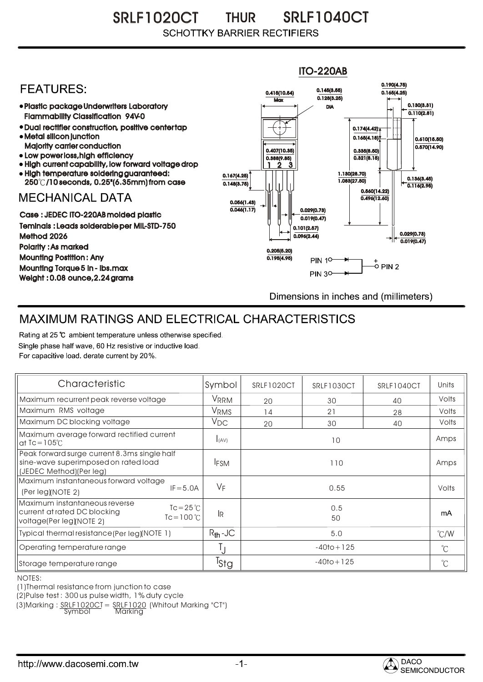SRLF1020CT THUR SRLF1040CT THUR **SCHOTTKY BARRIER RECTIFIERS** 



## MAXIMUM RATINGS AND ELECTRICAL CHARACTERISTICS

Rating at 25 °C ambient temperature unless otherwise specified. Single phase half wave, 60 Hz resistive or inductive load. For capacitive load, derate current by 20%.

| Characteristic                                                                                                                           | Symbol           | SRLF1020CT     | SRLF1030CT | SRLF1040CT | Units         |
|------------------------------------------------------------------------------------------------------------------------------------------|------------------|----------------|------------|------------|---------------|
| Maximum recurrent peak reverse voltage                                                                                                   | VRRM             | 20             | 30         | 40         | Volts         |
| Maximum RMS voltage                                                                                                                      | V <sub>RMS</sub> | 14             | 21         | 28         | Volts         |
| Maximum DC blocking voltage                                                                                                              | $V_{DC}$         | 20             | 30         | 40         | Volts         |
| Maximum average forward rectified current<br>at $Tc = 105^\circ C$                                                                       | I(AV)            | 10             |            |            | Amps          |
| Peak forward surge current 8.3ms single half<br>sine-wave superimposed on rated load<br>(JEDEC Method)(Per leg)                          | <b>IFSM</b>      | 110            |            |            | Amps          |
| Maximum instantaneous forward voltage<br>$IF = 5.0A$<br>(Per leg)/NOTE 2)                                                                | VF               | 0.55           |            |            | Volts         |
| Maximum instantaneous reverse<br>$Tc = 25^{\circ}C$<br>current at rated DC blocking<br>$T_c = 100 \degree C$<br>voltage(Per leg)(NOTE 2) | -lr              | 0.5<br>50      |            |            | mA            |
| Typical thermal resistance (Per leg)(NOTE 1)                                                                                             | $R_{th}$ -JC     | 5.0            |            |            | $\degree$ C/W |
| Operating temperature range                                                                                                              | Ţj               | $-40$ to + 125 |            |            | $^{\circ}$ C  |
| Storage temperature range                                                                                                                | <sup>I</sup> Stg | $-40$ to + 125 |            |            | $^{\circ}$ C  |

NOTES:

(1)Thermal resistance from junction to case

(2)Pulse test : 300 us pulse width, 1% duty cycle

 $(3)$ Marking :  $\frac{SRLF1020CI}{Svmbo} = \frac{SRLF1020}{Narkina}$  (Whitout Marking "CT")

Symbol